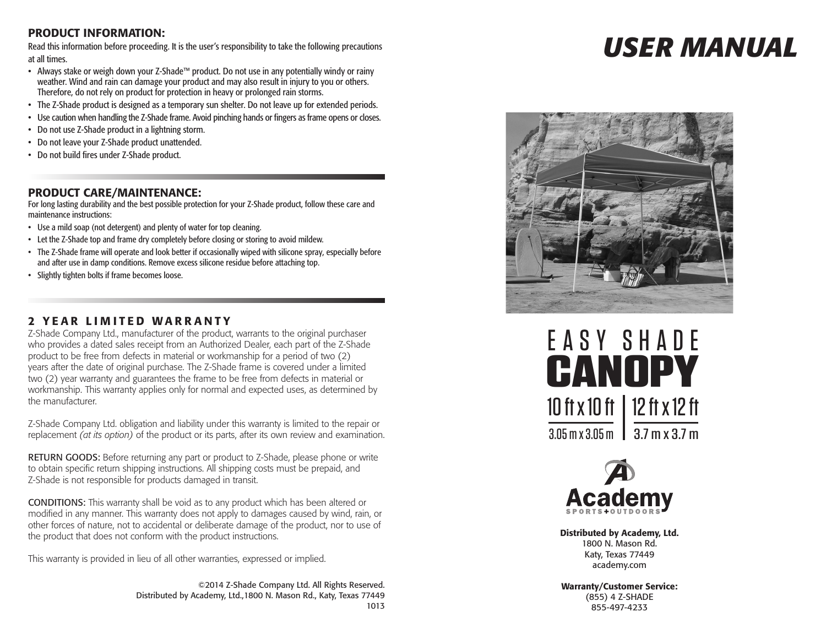## PRODUCT INFORMATION:

Read this information before proceeding. It is the user's responsibility to take the following precautions at all times.

- • Always stake or weigh down your Z-Shade™ product. Do not use in any potentially windy or rainy weather. Wind and rain can damage your product and may also result in injury to you or others. Therefore, do not rely on product for protection in heavy or prolonged rain storms.
- The Z-Shade product is designed as a temporary sun shelter. Do not leave up for extended periods.
- • Use caution when handling the Z-Shade frame. Avoid pinching hands or fingers as frame opens or closes.
- • Do not use Z-Shade product in a lightning storm.
- • Do not leave your Z-Shade product unattended.
- • Do not build fires under Z-Shade product.

### PRODUCT CARE/MAINTENANCE:

For long lasting durability and the best possible protection for your Z-Shade product, follow these care and maintenance instructions:

- Use a mild soap (not detergent) and plenty of water for top cleaning.
- Let the Z-Shade top and frame dry completely before closing or storing to avoid mildew.
- The Z-Shade frame will operate and look better if occasionally wiped with silicone spray, especially before and after use in damp conditions. Remove excess silicone residue before attaching top.
- • Slightly tighten bolts if frame becomes loose.

### 2 YEAR LIMITED WARRANTY

Z-Shade Company Ltd., manufacturer of the product, warrants to the original purchaser who provides a dated sales receipt from an Authorized Dealer, each part of the Z-Shade product to be free from defects in material or workmanship for a period of two (2) years after the date of original purchase. The Z-Shade frame is covered under a limited two (2) year warranty and guarantees the frame to be free from defects in material or workmanship. This warranty applies only for normal and expected uses, as determined by the manufacturer.

Z-Shade Company Ltd. obligation and liability under this warranty is limited to the repair or replacement *(at its option)* of the product or its parts, after its own review and examination.

RETURN GOODS: Before returning any part or product to Z-Shade, please phone or write to obtain specific return shipping instructions. All shipping costs must be prepaid, and Z-Shade is not responsible for products damaged in transit.

CONDITIONS: This warranty shall be void as to any product which has been altered or modified in any manner. This warranty does not apply to damages caused by wind, rain, or other forces of nature, not to accidental or deliberate damage of the product, nor to use of the product that does not conform with the product instructions.

This warranty is provided in lieu of all other warranties, expressed or implied.

©2014 Z-Shade Company Ltd. All Rights Reserved. Distributed by Academy, Ltd.,1800 N. Mason Rd., Katy, Texas 77449 1013

# *USER MANUAL*







Distributed by Academy, Ltd. 1800 N. Mason Rd. Katy, Texas 77449 academy.com

Warranty/Customer Service: (855) 4 Z-SHADE 855-497-4233